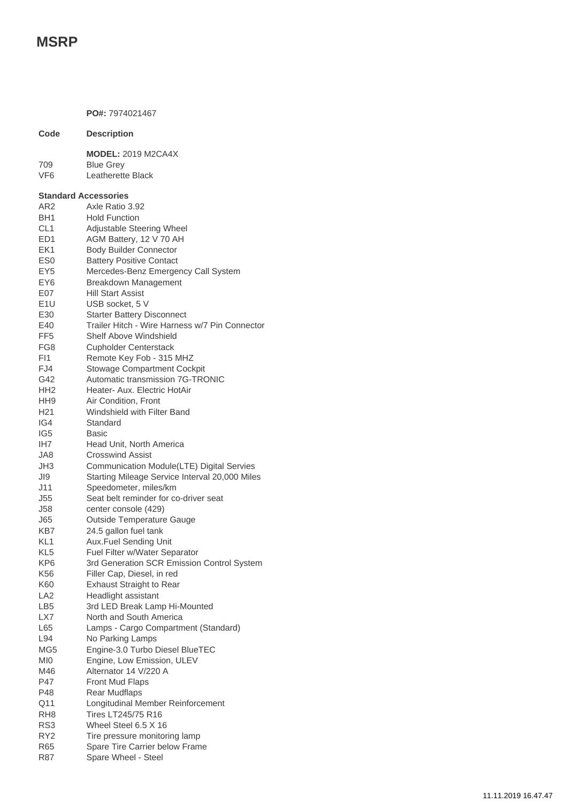## **MSRP**

**PO#:** 7974021467 **Code Description MODEL:** 2019 M2CA4X 709 Blue Grey VF6 Leatherette Black **Standard Accessories** AR2 Axle Ratio 3.92 BH1 Hold Function CL1 Adjustable Steering Wheel ED1 AGM Battery, 12 V 70 AH EK1 Body Builder Connector ES0 Battery Positive Contact EY5 Mercedes-Benz Emergency Call System EY6 Breakdown Management E07 Hill Start Assist E1U USB socket, 5 V E30 Starter Battery Disconnect E40 Trailer Hitch - Wire Harness w/7 Pin Connector FF5 Shelf Above Windshield FG8 Cupholder Centerstack FI1 Remote Key Fob - 315 MHZ FJ4 Stowage Compartment Cockpit G42 Automatic transmission 7G-TRONIC HH2 Heater- Aux. Electric HotAir HH9 Air Condition, Front H21 Windshield with Filter Band IG4 Standard IG5 Basic IH7 Head Unit, North America JA8 Crosswind Assist JH3 Communication Module(LTE) Digital Servies JI9 Starting Mileage Service Interval 20,000 Miles J11 Speedometer, miles/km J55 Seat belt reminder for co-driver seat J58 center console (429) J65 Outside Temperature Gauge KB7 24.5 gallon fuel tank KL1 Aux.Fuel Sending Unit KL5 Fuel Filter w/Water Separator KP6 3rd Generation SCR Emission Control System K56 Filler Cap, Diesel, in red K60 Exhaust Straight to Rear LA2 Headlight assistant LB5 3rd LED Break Lamp Hi-Mounted LX7 North and South America L65 Lamps - Cargo Compartment (Standard) L94 No Parking Lamps MG5 Engine-3.0 Turbo Diesel BlueTEC MI0 Engine, Low Emission, ULEV M46 Alternator 14 V/220 A P47 Front Mud Flaps P48 Rear Mudflaps Q11 Longitudinal Member Reinforcement RH8 Tires LT245/75 R16 RS3 Wheel Steel 6.5 X 16 RY2 Tire pressure monitoring lamp R65 Spare Tire Carrier below Frame

R87 Spare Wheel - Steel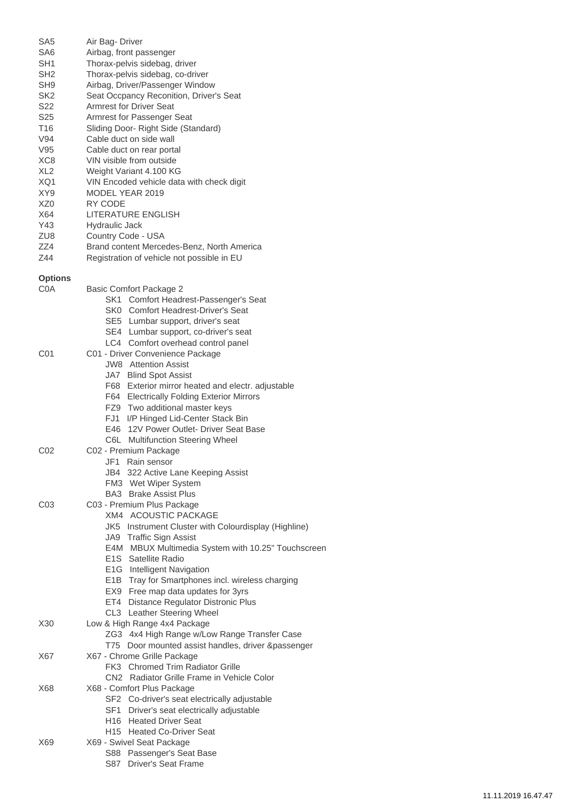| SA <sub>5</sub> | Air Bag- Driver                                                 |
|-----------------|-----------------------------------------------------------------|
| SA6             | Airbag, front passenger                                         |
| SH1             | Thorax-pelvis sidebag, driver                                   |
| SH <sub>2</sub> | Thorax-pelvis sidebag, co-driver                                |
| SH <sub>9</sub> | Airbag, Driver/Passenger Window                                 |
| SK2             | Seat Occpancy Reconition, Driver's Seat                         |
| S <sub>22</sub> | <b>Armrest for Driver Seat</b>                                  |
| S25             | Armrest for Passenger Seat                                      |
| T16             | Sliding Door- Right Side (Standard)                             |
| V94             | Cable duct on side wall                                         |
| V95             | Cable duct on rear portal                                       |
| XC <sub>8</sub> | VIN visible from outside                                        |
| XL <sub>2</sub> | Weight Variant 4.100 KG                                         |
| XQ1             | VIN Encoded vehicle data with check digit                       |
| XY9             | MODEL YEAR 2019                                                 |
| XZ <sub>0</sub> | RY CODE                                                         |
| X64             | LITERATURE ENGLISH                                              |
| Y43             | <b>Hydraulic Jack</b>                                           |
| ZU8             | Country Code - USA                                              |
| ZZ4             | Brand content Mercedes-Benz, North America                      |
| Z44             | Registration of vehicle not possible in EU                      |
|                 |                                                                 |
| <b>Options</b>  |                                                                 |
| COA             | <b>Basic Comfort Package 2</b>                                  |
|                 | SK1 Comfort Headrest-Passenger's Seat                           |
|                 | SK0 Comfort Headrest-Driver's Seat                              |
|                 | SE5 Lumbar support, driver's seat                               |
|                 | SE4 Lumbar support, co-driver's seat                            |
|                 | LC4 Comfort overhead control panel                              |
| C01             | C01 - Driver Convenience Package                                |
|                 | <b>JW8</b> Attention Assist                                     |
|                 | JA7 Blind Spot Assist                                           |
|                 | F68 Exterior mirror heated and electr. adjustable               |
|                 | F64 Electrically Folding Exterior Mirrors                       |
|                 | FZ9 Two additional master keys                                  |
|                 | FJ1 I/P Hinged Lid-Center Stack Bin                             |
|                 | E46 12V Power Outlet- Driver Seat Base                          |
|                 | C6L Multifunction Steering Wheel                                |
| C02             | C02 - Premium Package                                           |
|                 | JF1<br>Rain sensor                                              |
|                 | JB4 322 Active Lane Keeping Assist                              |
|                 | FM3 Wet Wiper System                                            |
|                 | <b>BA3</b> Brake Assist Plus                                    |
| CO <sub>3</sub> | C03 - Premium Plus Package                                      |
|                 | <b>XM4 ACOUSTIC PACKAGE</b>                                     |
|                 | JK5 Instrument Cluster with Colourdisplay (Highline)            |
|                 | JA9 Traffic Sign Assist                                         |
|                 | E4M MBUX Multimedia System with 10.25" Touchscreen              |
|                 | E1S Satellite Radio                                             |
|                 | E1G Intelligent Navigation                                      |
|                 | E1B Tray for Smartphones incl. wireless charging                |
|                 | EX9 Free map data updates for 3yrs                              |
|                 | ET4 Distance Regulator Distronic Plus                           |
|                 | CL3 Leather Steering Wheel                                      |
| X30             | Low & High Range 4x4 Package                                    |
|                 | ZG3 4x4 High Range w/Low Range Transfer Case                    |
|                 | T75 Door mounted assist handles, driver &passenger              |
| X67             | X67 - Chrome Grille Package<br>FK3 Chromed Trim Radiator Grille |
|                 | CN2 Radiator Grille Frame in Vehicle Color                      |
| X68             | X68 - Comfort Plus Package                                      |
|                 | SF2 Co-driver's seat electrically adjustable                    |
|                 | SF1 Driver's seat electrically adjustable                       |
|                 | H16 Heated Driver Seat                                          |
|                 | H15 Heated Co-Driver Seat                                       |
| X69             | X69 - Swivel Seat Package                                       |
|                 | S88 Passenger's Seat Base                                       |
|                 | S87 Driver's Seat Frame                                         |
|                 |                                                                 |